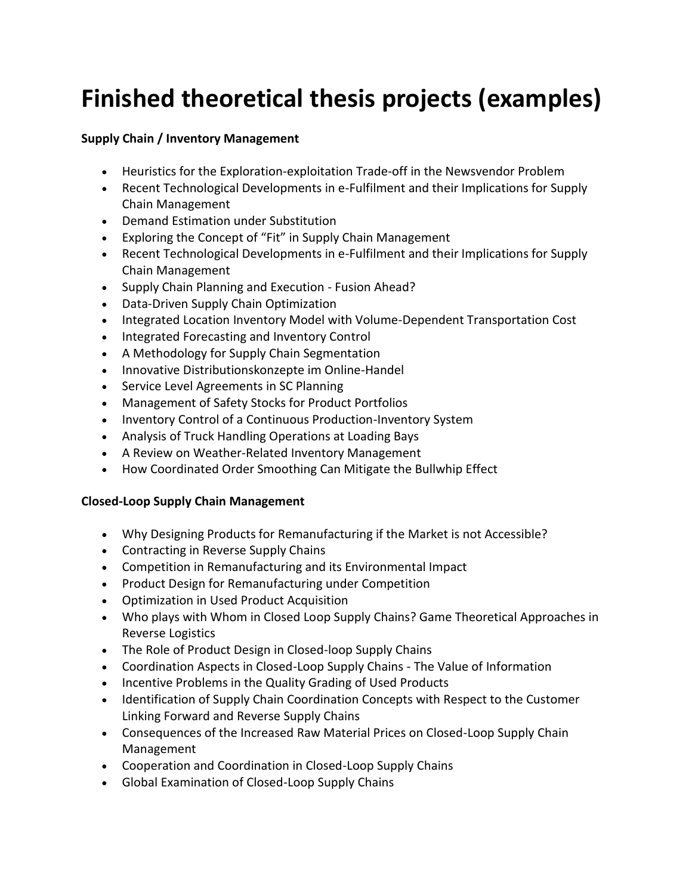# **Finished theoretical thesis projects (examples)**

### **Supply Chain / Inventory Management**

- Heuristics for the Exploration-exploitation Trade-off in the Newsvendor Problem
- Recent Technological Developments in e-Fulfilment and their Implications for Supply Chain Management
- Demand Estimation under Substitution
- Exploring the Concept of "Fit" in Supply Chain Management
- Recent Technological Developments in e-Fulfilment and their Implications for Supply Chain Management
- Supply Chain Planning and Execution Fusion Ahead?
- Data-Driven Supply Chain Optimization
- Integrated Location Inventory Model with Volume-Dependent Transportation Cost
- Integrated Forecasting and Inventory Control
- A Methodology for Supply Chain Segmentation
- Innovative Distributionskonzepte im Online-Handel
- Service Level Agreements in SC Planning
- Management of Safety Stocks for Product Portfolios
- Inventory Control of a Continuous Production-Inventory System
- Analysis of Truck Handling Operations at Loading Bays
- A Review on Weather-Related Inventory Management
- How Coordinated Order Smoothing Can Mitigate the Bullwhip Effect

#### **Closed-Loop Supply Chain Management**

- Why Designing Products for Remanufacturing if the Market is not Accessible?
- Contracting in Reverse Supply Chains
- Competition in Remanufacturing and its Environmental Impact
- Product Design for Remanufacturing under Competition
- Optimization in Used Product Acquisition
- Who plays with Whom in Closed Loop Supply Chains? Game Theoretical Approaches in Reverse Logistics
- The Role of Product Design in Closed-loop Supply Chains
- Coordination Aspects in Closed-Loop Supply Chains The Value of Information
- Incentive Problems in the Quality Grading of Used Products
- Identification of Supply Chain Coordination Concepts with Respect to the Customer Linking Forward and Reverse Supply Chains
- Consequences of the Increased Raw Material Prices on Closed-Loop Supply Chain Management
- Cooperation and Coordination in Closed-Loop Supply Chains
- Global Examination of Closed-Loop Supply Chains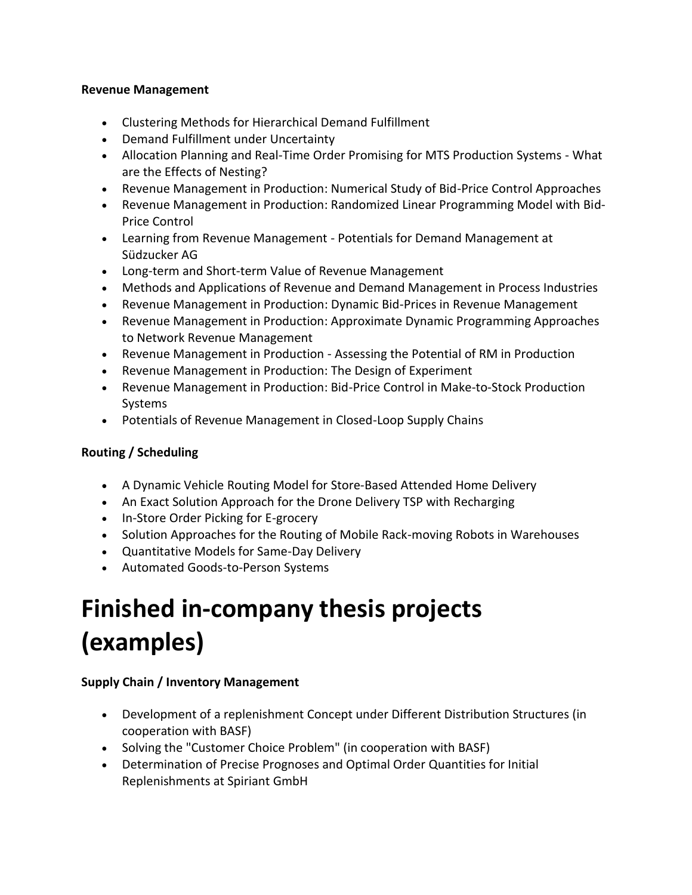#### **Revenue Management**

- Clustering Methods for Hierarchical Demand Fulfillment
- Demand Fulfillment under Uncertainty
- Allocation Planning and Real-Time Order Promising for MTS Production Systems What are the Effects of Nesting?
- Revenue Management in Production: Numerical Study of Bid-Price Control Approaches
- Revenue Management in Production: Randomized Linear Programming Model with Bid-Price Control
- Learning from Revenue Management Potentials for Demand Management at Südzucker AG
- Long-term and Short-term Value of Revenue Management
- Methods and Applications of Revenue and Demand Management in Process Industries
- Revenue Management in Production: Dynamic Bid-Prices in Revenue Management
- Revenue Management in Production: Approximate Dynamic Programming Approaches to Network Revenue Management
- Revenue Management in Production Assessing the Potential of RM in Production
- Revenue Management in Production: The Design of Experiment
- Revenue Management in Production: Bid-Price Control in Make-to-Stock Production Systems
- Potentials of Revenue Management in Closed-Loop Supply Chains

## **Routing / Scheduling**

- A Dynamic Vehicle Routing Model for Store-Based Attended Home Delivery
- An Exact Solution Approach for the Drone Delivery TSP with Recharging
- In-Store Order Picking for E-grocery
- Solution Approaches for the Routing of Mobile Rack-moving Robots in Warehouses
- Quantitative Models for Same-Day Delivery
- Automated Goods-to-Person Systems

## **Finished in-company thesis projects (examples)**

#### **Supply Chain / Inventory Management**

- Development of a replenishment Concept under Different Distribution Structures (in cooperation with BASF)
- Solving the "Customer Choice Problem" (in cooperation with BASF)
- Determination of Precise Prognoses and Optimal Order Quantities for Initial Replenishments at Spiriant GmbH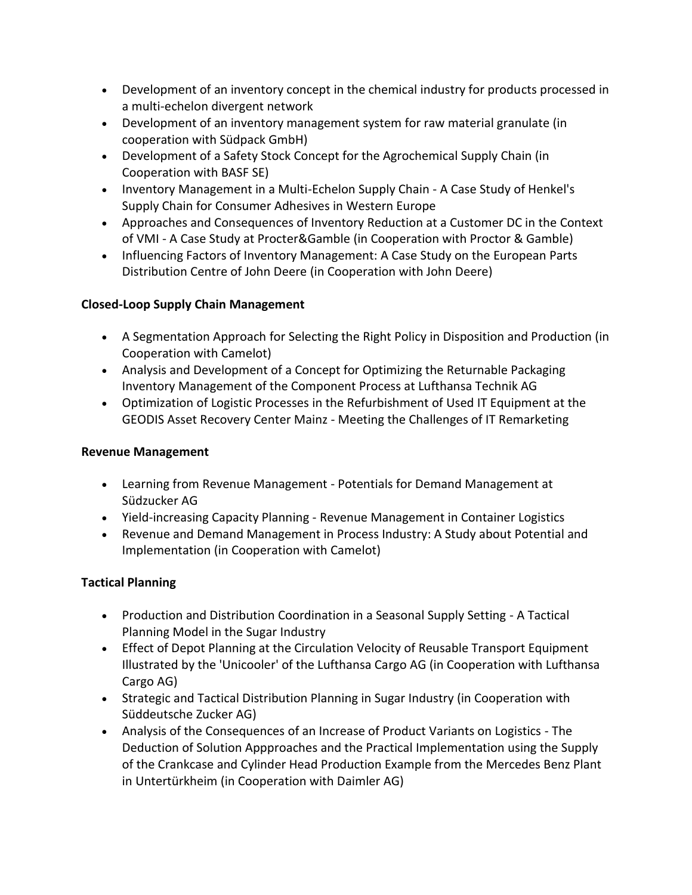- Development of an inventory concept in the chemical industry for products processed in a multi-echelon divergent network
- Development of an inventory management system for raw material granulate (in cooperation with Südpack GmbH)
- Development of a Safety Stock Concept for the Agrochemical Supply Chain (in Cooperation with BASF SE)
- Inventory Management in a Multi-Echelon Supply Chain A Case Study of Henkel's Supply Chain for Consumer Adhesives in Western Europe
- Approaches and Consequences of Inventory Reduction at a Customer DC in the Context of VMI - A Case Study at Procter&Gamble (in Cooperation with Proctor & Gamble)
- Influencing Factors of Inventory Management: A Case Study on the European Parts Distribution Centre of John Deere (in Cooperation with John Deere)

## **Closed-Loop Supply Chain Management**

- A Segmentation Approach for Selecting the Right Policy in Disposition and Production (in Cooperation with Camelot)
- Analysis and Development of a Concept for Optimizing the Returnable Packaging Inventory Management of the Component Process at Lufthansa Technik AG
- Optimization of Logistic Processes in the Refurbishment of Used IT Equipment at the GEODIS Asset Recovery Center Mainz - Meeting the Challenges of IT Remarketing

## **Revenue Management**

- Learning from Revenue Management Potentials for Demand Management at Südzucker AG
- Yield-increasing Capacity Planning Revenue Management in Container Logistics
- Revenue and Demand Management in Process Industry: A Study about Potential and Implementation (in Cooperation with Camelot)

## **Tactical Planning**

- Production and Distribution Coordination in a Seasonal Supply Setting A Tactical Planning Model in the Sugar Industry
- Effect of Depot Planning at the Circulation Velocity of Reusable Transport Equipment Illustrated by the 'Unicooler' of the Lufthansa Cargo AG (in Cooperation with Lufthansa Cargo AG)
- Strategic and Tactical Distribution Planning in Sugar Industry (in Cooperation with Süddeutsche Zucker AG)
- Analysis of the Consequences of an Increase of Product Variants on Logistics The Deduction of Solution Appproaches and the Practical Implementation using the Supply of the Crankcase and Cylinder Head Production Example from the Mercedes Benz Plant in Untertürkheim (in Cooperation with Daimler AG)